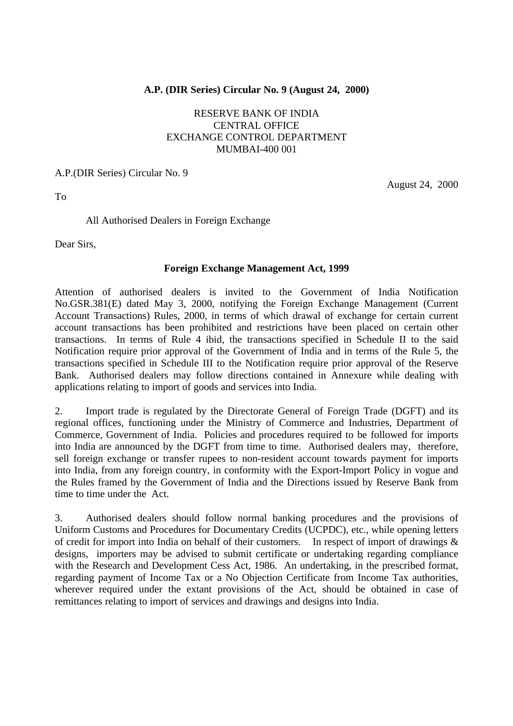## **A.P. (DIR Series) Circular No. 9 (August 24, 2000)**

# RESERVE BANK OF INDIA CENTRAL OFFICE EXCHANGE CONTROL DEPARTMENT MUMBAI-400 001

#### A.P.(DIR Series) Circular No. 9

To

August 24, 2000

### All Authorised Dealers in Foreign Exchange

Dear Sirs,

### **Foreign Exchange Management Act, 1999**

Attention of authorised dealers is invited to the Government of India Notification No.GSR.381(E) dated May 3, 2000, notifying the Foreign Exchange Management (Current Account Transactions) Rules, 2000, in terms of which drawal of exchange for certain current account transactions has been prohibited and restrictions have been placed on certain other transactions. In terms of Rule 4 ibid, the transactions specified in Schedule II to the said Notification require prior approval of the Government of India and in terms of the Rule 5, the transactions specified in Schedule III to the Notification require prior approval of the Reserve Bank. Authorised dealers may follow directions contained in Annexure while dealing with applications relating to import of goods and services into India.

2. Import trade is regulated by the Directorate General of Foreign Trade (DGFT) and its regional offices, functioning under the Ministry of Commerce and Industries, Department of Commerce, Government of India. Policies and procedures required to be followed for imports into India are announced by the DGFT from time to time. Authorised dealers may, therefore, sell foreign exchange or transfer rupees to non-resident account towards payment for imports into India, from any foreign country, in conformity with the Export-Import Policy in vogue and the Rules framed by the Government of India and the Directions issued by Reserve Bank from time to time under the Act.

3. Authorised dealers should follow normal banking procedures and the provisions of Uniform Customs and Procedures for Documentary Credits (UCPDC), etc., while opening letters of credit for import into India on behalf of their customers. In respect of import of drawings & designs, importers may be advised to submit certificate or undertaking regarding compliance with the Research and Development Cess Act, 1986. An undertaking, in the prescribed format, regarding payment of Income Tax or a No Objection Certificate from Income Tax authorities, wherever required under the extant provisions of the Act, should be obtained in case of remittances relating to import of services and drawings and designs into India.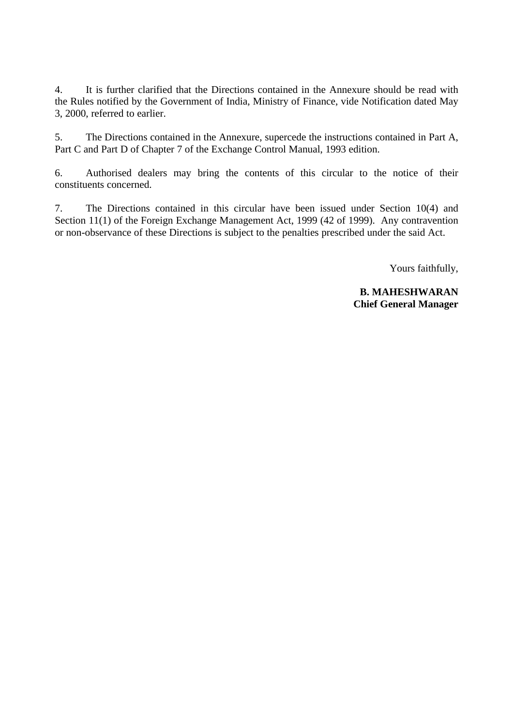4. It is further clarified that the Directions contained in the Annexure should be read with the Rules notified by the Government of India, Ministry of Finance, vide Notification dated May 3, 2000, referred to earlier.

5. The Directions contained in the Annexure, supercede the instructions contained in Part A, Part C and Part D of Chapter 7 of the Exchange Control Manual, 1993 edition.

6. Authorised dealers may bring the contents of this circular to the notice of their constituents concerned.

7. The Directions contained in this circular have been issued under Section 10(4) and Section 11(1) of the Foreign Exchange Management Act, 1999 (42 of 1999). Any contravention or non-observance of these Directions is subject to the penalties prescribed under the said Act.

Yours faithfully,

**B. MAHESHWARAN Chief General Manager**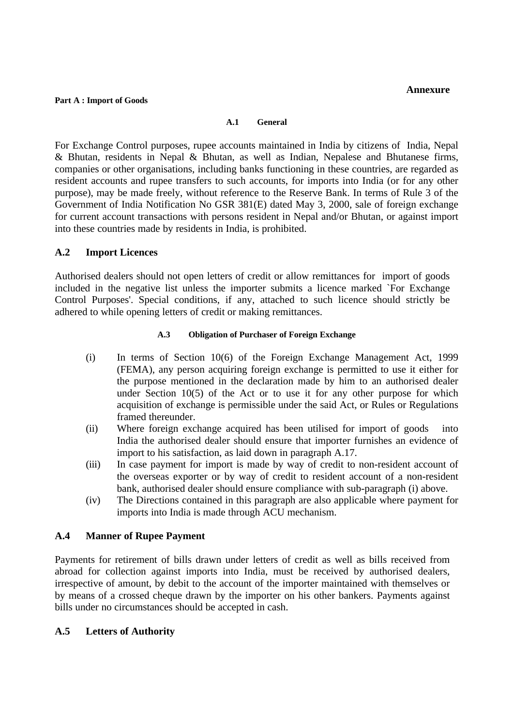#### **Annexure**

#### **Part A : Import of Goods**

#### **A.1 General**

For Exchange Control purposes, rupee accounts maintained in India by citizens of India, Nepal & Bhutan, residents in Nepal & Bhutan, as well as Indian, Nepalese and Bhutanese firms, companies or other organisations, including banks functioning in these countries, are regarded as resident accounts and rupee transfers to such accounts, for imports into India (or for any other purpose), may be made freely, without reference to the Reserve Bank. In terms of Rule 3 of the Government of India Notification No GSR 381(E) dated May 3, 2000, sale of foreign exchange for current account transactions with persons resident in Nepal and/or Bhutan, or against import into these countries made by residents in India, is prohibited.

## **A.2 Import Licences**

Authorised dealers should not open letters of credit or allow remittances for import of goods included in the negative list unless the importer submits a licence marked `For Exchange Control Purposes'. Special conditions, if any, attached to such licence should strictly be adhered to while opening letters of credit or making remittances.

#### **A.3 Obligation of Purchaser of Foreign Exchange**

- (i) In terms of Section 10(6) of the Foreign Exchange Management Act, 1999 (FEMA), any person acquiring foreign exchange is permitted to use it either for the purpose mentioned in the declaration made by him to an authorised dealer under Section 10(5) of the Act or to use it for any other purpose for which acquisition of exchange is permissible under the said Act, or Rules or Regulations framed thereunder.
- (ii) Where foreign exchange acquired has been utilised for import of goods into India the authorised dealer should ensure that importer furnishes an evidence of import to his satisfaction, as laid down in paragraph A.17.
- (iii) In case payment for import is made by way of credit to non-resident account of the overseas exporter or by way of credit to resident account of a non-resident bank, authorised dealer should ensure compliance with sub-paragraph (i) above.
- (iv) The Directions contained in this paragraph are also applicable where payment for imports into India is made through ACU mechanism.

### **A.4 Manner of Rupee Payment**

Payments for retirement of bills drawn under letters of credit as well as bills received from abroad for collection against imports into India, must be received by authorised dealers, irrespective of amount, by debit to the account of the importer maintained with themselves or by means of a crossed cheque drawn by the importer on his other bankers. Payments against bills under no circumstances should be accepted in cash.

### **A.5 Letters of Authority**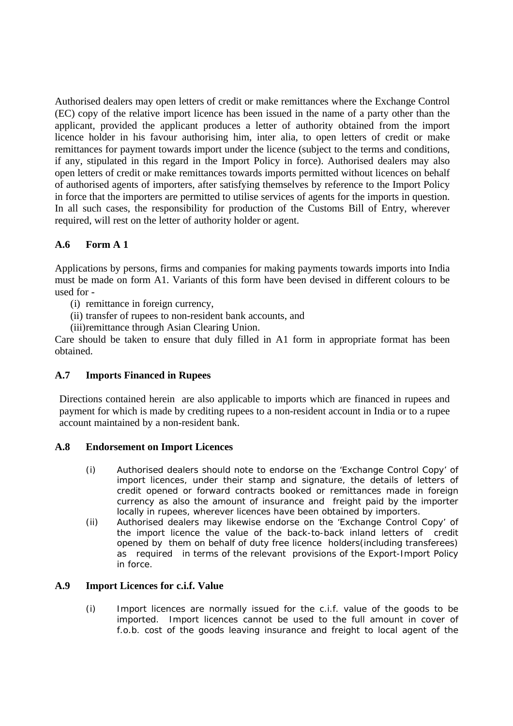Authorised dealers may open letters of credit or make remittances where the Exchange Control (EC) copy of the relative import licence has been issued in the name of a party other than the applicant, provided the applicant produces a letter of authority obtained from the import licence holder in his favour authorising him, inter alia, to open letters of credit or make remittances for payment towards import under the licence (subject to the terms and conditions, if any, stipulated in this regard in the Import Policy in force). Authorised dealers may also open letters of credit or make remittances towards imports permitted without licences on behalf of authorised agents of importers, after satisfying themselves by reference to the Import Policy in force that the importers are permitted to utilise services of agents for the imports in question. In all such cases, the responsibility for production of the Customs Bill of Entry, wherever required, will rest on the letter of authority holder or agent.

# **A.6 Form A 1**

Applications by persons, firms and companies for making payments towards imports into India must be made on form A1. Variants of this form have been devised in different colours to be used for -

- (i) remittance in foreign currency,
- (ii) transfer of rupees to non-resident bank accounts, and
- (iii)remittance through Asian Clearing Union.

Care should be taken to ensure that duly filled in A1 form in appropriate format has been obtained.

# **A.7 Imports Financed in Rupees**

Directions contained herein are also applicable to imports which are financed in rupees and payment for which is made by crediting rupees to a non-resident account in India or to a rupee account maintained by a non-resident bank.

### **A.8 Endorsement on Import Licences**

- (i) Authorised dealers should note to endorse on the 'Exchange Control Copy' of import licences, under their stamp and signature, the details of letters of credit opened or forward contracts booked or remittances made in foreign currency as also the amount of insurance and freight paid by the importer locally in rupees, wherever licences have been obtained by importers.
- (ii) Authorised dealers may likewise endorse on the 'Exchange Control Copy' of the import licence the value of the back-to-back inland letters of credit opened by them on behalf of duty free licence holders(including transferees) as required in terms of the relevant provisions of the Export-Import Policy in force.

### **A.9 Import Licences for c.i.f. Value**

(i) Import licences are normally issued for the c.i.f. value of the goods to be imported. Import licences cannot be used to the full amount in cover of f.o.b. cost of the goods leaving insurance and freight to local agent of the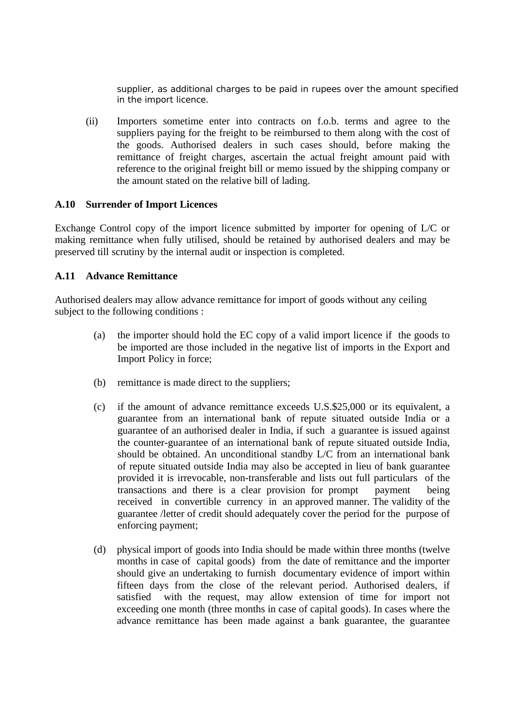supplier, as additional charges to be paid in rupees over the amount specified in the import licence.

(ii) Importers sometime enter into contracts on f.o.b. terms and agree to the suppliers paying for the freight to be reimbursed to them along with the cost of the goods. Authorised dealers in such cases should, before making the remittance of freight charges, ascertain the actual freight amount paid with reference to the original freight bill or memo issued by the shipping company or the amount stated on the relative bill of lading.

### **A.10 Surrender of Import Licences**

Exchange Control copy of the import licence submitted by importer for opening of L/C or making remittance when fully utilised, should be retained by authorised dealers and may be preserved till scrutiny by the internal audit or inspection is completed.

#### **A.11 Advance Remittance**

Authorised dealers may allow advance remittance for import of goods without any ceiling subject to the following conditions :

- (a) the importer should hold the EC copy of a valid import licence if the goods to be imported are those included in the negative list of imports in the Export and Import Policy in force;
- (b) remittance is made direct to the suppliers;
- (c) if the amount of advance remittance exceeds U.S.\$25,000 or its equivalent, a guarantee from an international bank of repute situated outside India or a guarantee of an authorised dealer in India, if such a guarantee is issued against the counter-guarantee of an international bank of repute situated outside India, should be obtained. An unconditional standby L/C from an international bank of repute situated outside India may also be accepted in lieu of bank guarantee provided it is irrevocable, non-transferable and lists out full particulars of the transactions and there is a clear provision for prompt payment being received in convertible currency in an approved manner. The validity of the guarantee /letter of credit should adequately cover the period for the purpose of enforcing payment;
- (d) physical import of goods into India should be made within three months (twelve months in case of capital goods) from the date of remittance and the importer should give an undertaking to furnish documentary evidence of import within fifteen days from the close of the relevant period. Authorised dealers, if satisfied with the request, may allow extension of time for import not exceeding one month (three months in case of capital goods). In cases where the advance remittance has been made against a bank guarantee, the guarantee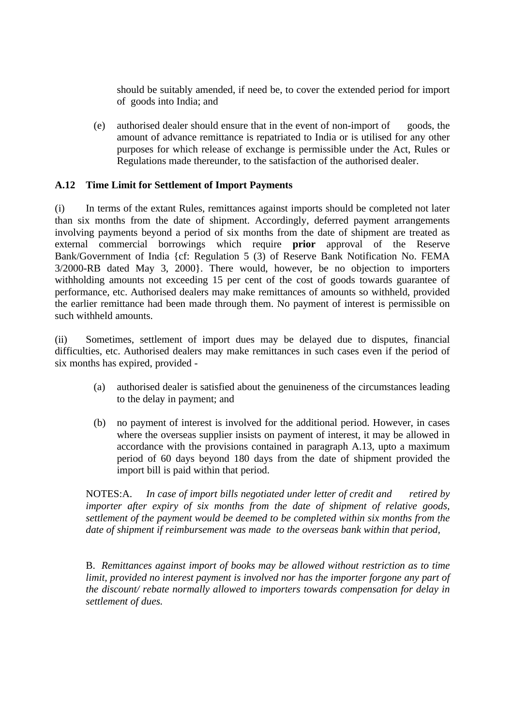should be suitably amended, if need be, to cover the extended period for import of goods into India; and

(e) authorised dealer should ensure that in the event of non-import of goods, the amount of advance remittance is repatriated to India or is utilised for any other purposes for which release of exchange is permissible under the Act, Rules or Regulations made thereunder, to the satisfaction of the authorised dealer.

### **A.12 Time Limit for Settlement of Import Payments**

(i) In terms of the extant Rules, remittances against imports should be completed not later than six months from the date of shipment. Accordingly, deferred payment arrangements involving payments beyond a period of six months from the date of shipment are treated as external commercial borrowings which require **prior** approval of the Reserve Bank/Government of India {cf: Regulation 5 (3) of Reserve Bank Notification No. FEMA 3/2000-RB dated May 3, 2000}. There would, however, be no objection to importers withholding amounts not exceeding 15 per cent of the cost of goods towards guarantee of performance, etc. Authorised dealers may make remittances of amounts so withheld, provided the earlier remittance had been made through them. No payment of interest is permissible on such withheld amounts.

(ii) Sometimes, settlement of import dues may be delayed due to disputes, financial difficulties, etc. Authorised dealers may make remittances in such cases even if the period of six months has expired, provided -

- (a) authorised dealer is satisfied about the genuineness of the circumstances leading to the delay in payment; and
- (b) no payment of interest is involved for the additional period. However, in cases where the overseas supplier insists on payment of interest, it may be allowed in accordance with the provisions contained in paragraph A.13, upto a maximum period of 60 days beyond 180 days from the date of shipment provided the import bill is paid within that period.

NOTES:A. *In case of import bills negotiated under letter of credit and retired by importer after expiry of six months from the date of shipment of relative goods, settlement of the payment would be deemed to be completed within six months from the date of shipment if reimbursement was made to the overseas bank within that period,*

B. *Remittances against import of books may be allowed without restriction as to time limit, provided no interest payment is involved nor has the importer forgone any part of the discount/ rebate normally allowed to importers towards compensation for delay in settlement of dues.*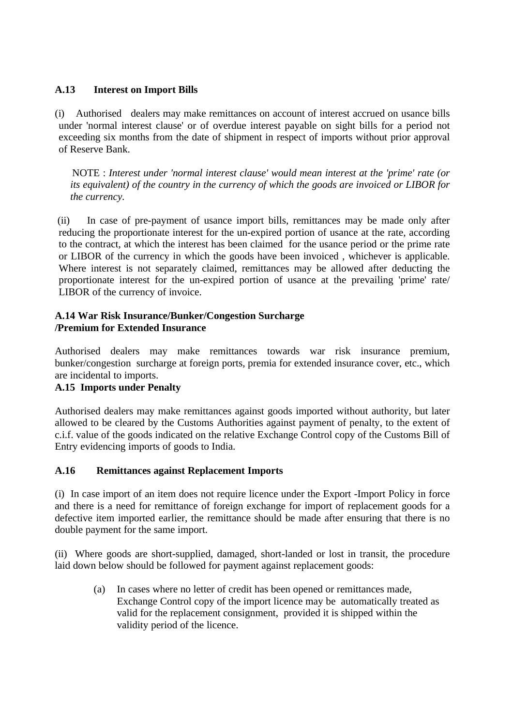# **A.13 Interest on Import Bills**

(i) Authorised dealers may make remittances on account of interest accrued on usance bills under 'normal interest clause' or of overdue interest payable on sight bills for a period not exceeding six months from the date of shipment in respect of imports without prior approval of Reserve Bank.

NOTE : *Interest under 'normal interest clause' would mean interest at the 'prime' rate (or its equivalent) of the country in the currency of which the goods are invoiced or LIBOR for the currency.*

 (ii) In case of pre-payment of usance import bills, remittances may be made only after reducing the proportionate interest for the un-expired portion of usance at the rate, according to the contract, at which the interest has been claimed for the usance period or the prime rate or LIBOR of the currency in which the goods have been invoiced , whichever is applicable. Where interest is not separately claimed, remittances may be allowed after deducting the proportionate interest for the un-expired portion of usance at the prevailing 'prime' rate/ LIBOR of the currency of invoice.

## **A.14 War Risk Insurance/Bunker/Congestion Surcharge /Premium for Extended Insurance**

Authorised dealers may make remittances towards war risk insurance premium, bunker/congestion surcharge at foreign ports, premia for extended insurance cover, etc., which are incidental to imports.

# **A.15 Imports under Penalty**

Authorised dealers may make remittances against goods imported without authority, but later allowed to be cleared by the Customs Authorities against payment of penalty, to the extent of c.i.f. value of the goods indicated on the relative Exchange Control copy of the Customs Bill of Entry evidencing imports of goods to India.

### **A.16 Remittances against Replacement Imports**

(i) In case import of an item does not require licence under the Export -Import Policy in force and there is a need for remittance of foreign exchange for import of replacement goods for a defective item imported earlier, the remittance should be made after ensuring that there is no double payment for the same import.

(ii) Where goods are short-supplied, damaged, short-landed or lost in transit, the procedure laid down below should be followed for payment against replacement goods:

(a) In cases where no letter of credit has been opened or remittances made, Exchange Control copy of the import licence may be automatically treated as valid for the replacement consignment, provided it is shipped within the validity period of the licence.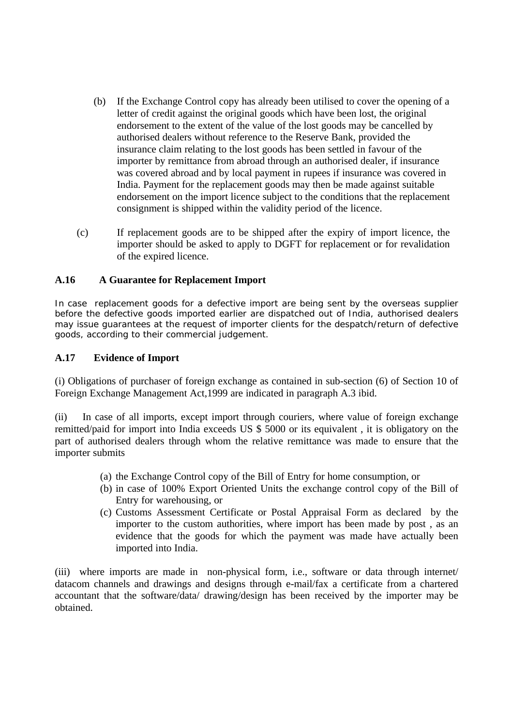- (b) If the Exchange Control copy has already been utilised to cover the opening of a letter of credit against the original goods which have been lost, the original endorsement to the extent of the value of the lost goods may be cancelled by authorised dealers without reference to the Reserve Bank, provided the insurance claim relating to the lost goods has been settled in favour of the importer by remittance from abroad through an authorised dealer, if insurance was covered abroad and by local payment in rupees if insurance was covered in India. Payment for the replacement goods may then be made against suitable endorsement on the import licence subject to the conditions that the replacement consignment is shipped within the validity period of the licence.
- (c) If replacement goods are to be shipped after the expiry of import licence, the importer should be asked to apply to DGFT for replacement or for revalidation of the expired licence.

## **A.16 A Guarantee for Replacement Import**

In case replacement goods for a defective import are being sent by the overseas supplier before the defective goods imported earlier are dispatched out of India, authorised dealers may issue guarantees at the request of importer clients for the despatch/return of defective goods, according to their commercial judgement.

#### **A.17 Evidence of Import**

(i) Obligations of purchaser of foreign exchange as contained in sub-section (6) of Section 10 of Foreign Exchange Management Act,1999 are indicated in paragraph A.3 ibid.

(ii) In case of all imports, except import through couriers, where value of foreign exchange remitted/paid for import into India exceeds US \$ 5000 or its equivalent , it is obligatory on the part of authorised dealers through whom the relative remittance was made to ensure that the importer submits

- (a) the Exchange Control copy of the Bill of Entry for home consumption, or
- (b) in case of 100% Export Oriented Units the exchange control copy of the Bill of Entry for warehousing, or
- (c) Customs Assessment Certificate or Postal Appraisal Form as declared by the importer to the custom authorities, where import has been made by post , as an evidence that the goods for which the payment was made have actually been imported into India.

(iii) where imports are made in non-physical form, i.e., software or data through internet/ datacom channels and drawings and designs through e-mail/fax a certificate from a chartered accountant that the software/data/ drawing/design has been received by the importer may be obtained.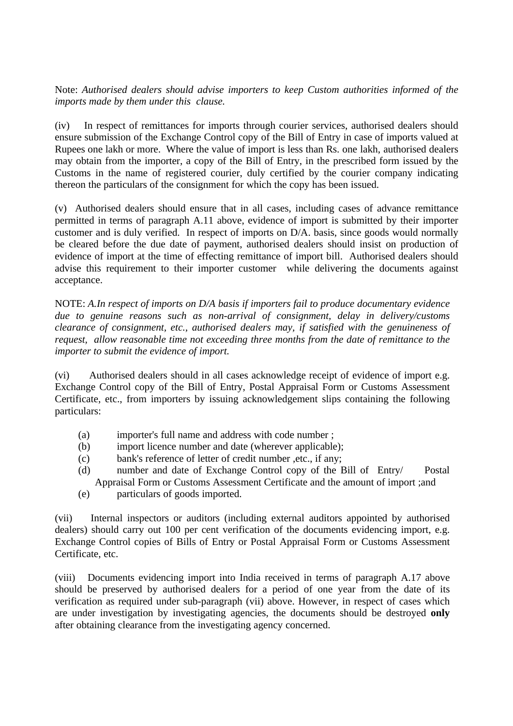Note: *Authorised dealers should advise importers to keep Custom authorities informed of the imports made by them under this clause.*

(iv) In respect of remittances for imports through courier services, authorised dealers should ensure submission of the Exchange Control copy of the Bill of Entry in case of imports valued at Rupees one lakh or more. Where the value of import is less than Rs. one lakh, authorised dealers may obtain from the importer, a copy of the Bill of Entry, in the prescribed form issued by the Customs in the name of registered courier, duly certified by the courier company indicating thereon the particulars of the consignment for which the copy has been issued.

(v) Authorised dealers should ensure that in all cases, including cases of advance remittance permitted in terms of paragraph A.11 above, evidence of import is submitted by their importer customer and is duly verified. In respect of imports on D/A. basis, since goods would normally be cleared before the due date of payment, authorised dealers should insist on production of evidence of import at the time of effecting remittance of import bill. Authorised dealers should advise this requirement to their importer customer while delivering the documents against acceptance.

NOTE: *A.In respect of imports on D/A basis if importers fail to produce documentary evidence due to genuine reasons such as non-arrival of consignment, delay in delivery/customs clearance of consignment, etc., authorised dealers may, if satisfied with the genuineness of request, allow reasonable time not exceeding three months from the date of remittance to the importer to submit the evidence of import.*

(vi) Authorised dealers should in all cases acknowledge receipt of evidence of import e.g. Exchange Control copy of the Bill of Entry, Postal Appraisal Form or Customs Assessment Certificate, etc., from importers by issuing acknowledgement slips containing the following particulars:

- (a) importer's full name and address with code number ;
- (b) import licence number and date (wherever applicable);
- (c) bank's reference of letter of credit number ,etc., if any;
- (d) number and date of Exchange Control copy of the Bill of Entry/ Postal Appraisal Form or Customs Assessment Certificate and the amount of import ;and
- (e) particulars of goods imported.

(vii) Internal inspectors or auditors (including external auditors appointed by authorised dealers) should carry out 100 per cent verification of the documents evidencing import, e.g. Exchange Control copies of Bills of Entry or Postal Appraisal Form or Customs Assessment Certificate, etc.

(viii) Documents evidencing import into India received in terms of paragraph A.17 above should be preserved by authorised dealers for a period of one year from the date of its verification as required under sub-paragraph (vii) above. However, in respect of cases which are under investigation by investigating agencies, the documents should be destroyed **only** after obtaining clearance from the investigating agency concerned.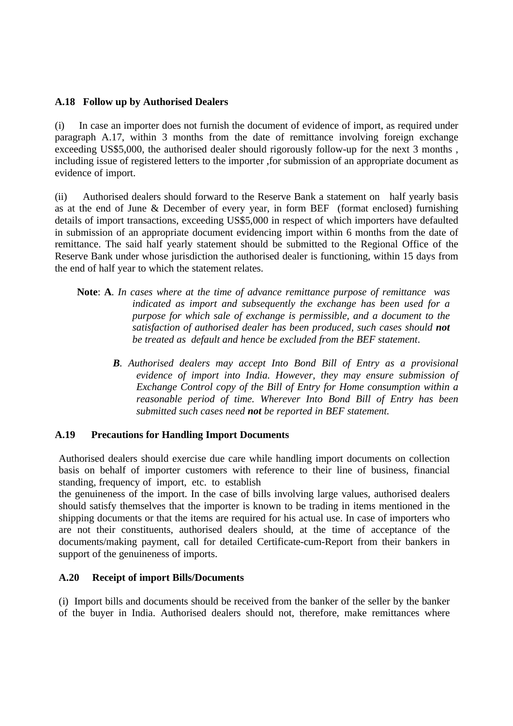### **A.18 Follow up by Authorised Dealers**

(i) In case an importer does not furnish the document of evidence of import, as required under paragraph A.17, within 3 months from the date of remittance involving foreign exchange exceeding US\$5,000, the authorised dealer should rigorously follow-up for the next 3 months , including issue of registered letters to the importer ,for submission of an appropriate document as evidence of import.

(ii) Authorised dealers should forward to the Reserve Bank a statement on half yearly basis as at the end of June & December of every year, in form BEF (format enclosed) furnishing details of import transactions, exceeding US\$5,000 in respect of which importers have defaulted in submission of an appropriate document evidencing import within 6 months from the date of remittance. The said half yearly statement should be submitted to the Regional Office of the Reserve Bank under whose jurisdiction the authorised dealer is functioning, within 15 days from the end of half year to which the statement relates.

- **Note**: **A**. *In cases where at the time of advance remittance purpose of remittance was indicated as import and subsequently the exchange has been used for a purpose for which sale of exchange is permissible, and a document to the satisfaction of authorised dealer has been produced, such cases should not be treated as default and hence be excluded from the BEF statement*.
	- *B. Authorised dealers may accept Into Bond Bill of Entry as a provisional evidence of import into India. However, they may ensure submission of Exchange Control copy of the Bill of Entry for Home consumption within a reasonable period of time. Wherever Into Bond Bill of Entry has been submitted such cases need not be reported in BEF statement.*

# **A.19 Precautions for Handling Import Documents**

Authorised dealers should exercise due care while handling import documents on collection basis on behalf of importer customers with reference to their line of business, financial standing, frequency of import, etc. to establish

the genuineness of the import. In the case of bills involving large values, authorised dealers should satisfy themselves that the importer is known to be trading in items mentioned in the shipping documents or that the items are required for his actual use. In case of importers who are not their constituents, authorised dealers should, at the time of acceptance of the documents/making payment, call for detailed Certificate-cum-Report from their bankers in support of the genuineness of imports.

### **A.20 Receipt of import Bills/Documents**

(i) Import bills and documents should be received from the banker of the seller by the banker of the buyer in India. Authorised dealers should not, therefore, make remittances where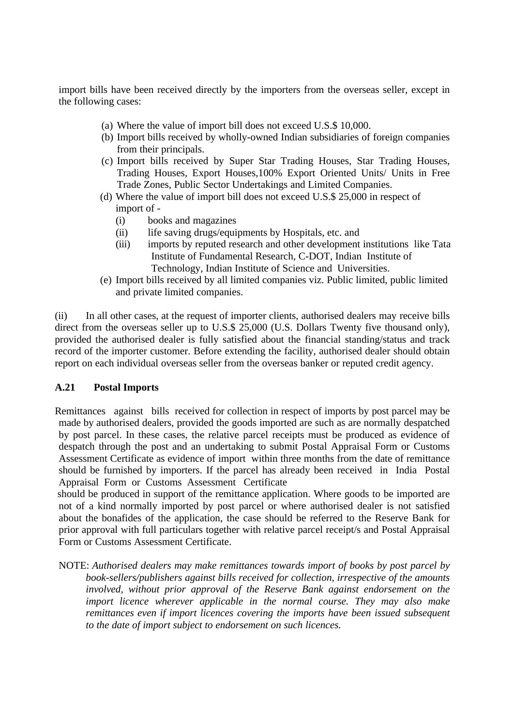import bills have been received directly by the importers from the overseas seller, except in the following cases:

- (a) Where the value of import bill does not exceed U.S.\$ 10,000.
- (b) Import bills received by wholly-owned Indian subsidiaries of foreign companies from their principals.
- (c) Import bills received by Super Star Trading Houses, Star Trading Houses, Trading Houses, Export Houses,100% Export Oriented Units/ Units in Free Trade Zones, Public Sector Undertakings and Limited Companies.
- (d) Where the value of import bill does not exceed U.S.\$ 25,000 in respect of import of -
	- (i) books and magazines
	- (ii) life saving drugs/equipments by Hospitals, etc. and
	- (iii) imports by reputed research and other development institutions like Tata Institute of Fundamental Research, C-DOT, Indian Institute of Technology, Indian Institute of Science and Universities.
- (e) Import bills received by all limited companies viz. Public limited, public limited and private limited companies.

(ii) In all other cases, at the request of importer clients, authorised dealers may receive bills direct from the overseas seller up to U.S.\$ 25,000 (U.S. Dollars Twenty five thousand only), provided the authorised dealer is fully satisfied about the financial standing/status and track record of the importer customer. Before extending the facility, authorised dealer should obtain report on each individual overseas seller from the overseas banker or reputed credit agency.

### **A.21 Postal Imports**

Remittances against bills received for collection in respect of imports by post parcel may be made by authorised dealers, provided the goods imported are such as are normally despatched by post parcel. In these cases, the relative parcel receipts must be produced as evidence of despatch through the post and an undertaking to submit Postal Appraisal Form or Customs Assessment Certificate as evidence of import within three months from the date of remittance should be furnished by importers. If the parcel has already been received in India Postal Appraisal Form or Customs Assessment Certificate

should be produced in support of the remittance application. Where goods to be imported are not of a kind normally imported by post parcel or where authorised dealer is not satisfied about the bonafides of the application, the case should be referred to the Reserve Bank for prior approval with full particulars together with relative parcel receipt/s and Postal Appraisal Form or Customs Assessment Certificate.

NOTE: *Authorised dealers may make remittances towards import of books by post parcel by book-sellers/publishers against bills received for collection, irrespective of the amounts involved, without prior approval of the Reserve Bank against endorsement on the import licence wherever applicable in the normal course. They may also make remittances even if import licences covering the imports have been issued subsequent to the date of import subject to endorsement on such licences.*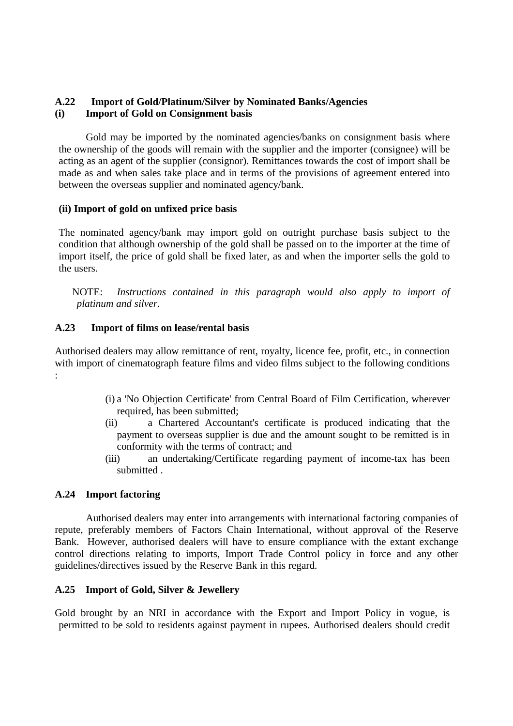# **A.22 Import of Gold/Platinum/Silver by Nominated Banks/Agencies (i) Import of Gold on Consignment basis**

Gold may be imported by the nominated agencies/banks on consignment basis where the ownership of the goods will remain with the supplier and the importer (consignee) will be acting as an agent of the supplier (consignor). Remittances towards the cost of import shall be made as and when sales take place and in terms of the provisions of agreement entered into between the overseas supplier and nominated agency/bank.

## **(ii) Import of gold on unfixed price basis**

The nominated agency/bank may import gold on outright purchase basis subject to the condition that although ownership of the gold shall be passed on to the importer at the time of import itself, the price of gold shall be fixed later, as and when the importer sells the gold to the users.

NOTE: *Instructions contained in this paragraph would also apply to import of platinum and silver.*

## **A.23 Import of films on lease/rental basis**

Authorised dealers may allow remittance of rent, royalty, licence fee, profit, etc., in connection with import of cinematograph feature films and video films subject to the following conditions :

- (i) a 'No Objection Certificate' from Central Board of Film Certification, wherever required, has been submitted;
- (ii) a Chartered Accountant's certificate is produced indicating that the payment to overseas supplier is due and the amount sought to be remitted is in conformity with the terms of contract; and
- (iii) an undertaking/Certificate regarding payment of income-tax has been submitted .

### **A.24 Import factoring**

Authorised dealers may enter into arrangements with international factoring companies of repute, preferably members of Factors Chain International, without approval of the Reserve Bank. However, authorised dealers will have to ensure compliance with the extant exchange control directions relating to imports, Import Trade Control policy in force and any other guidelines/directives issued by the Reserve Bank in this regard.

### **A.25 Import of Gold, Silver & Jewellery**

Gold brought by an NRI in accordance with the Export and Import Policy in vogue, is permitted to be sold to residents against payment in rupees. Authorised dealers should credit